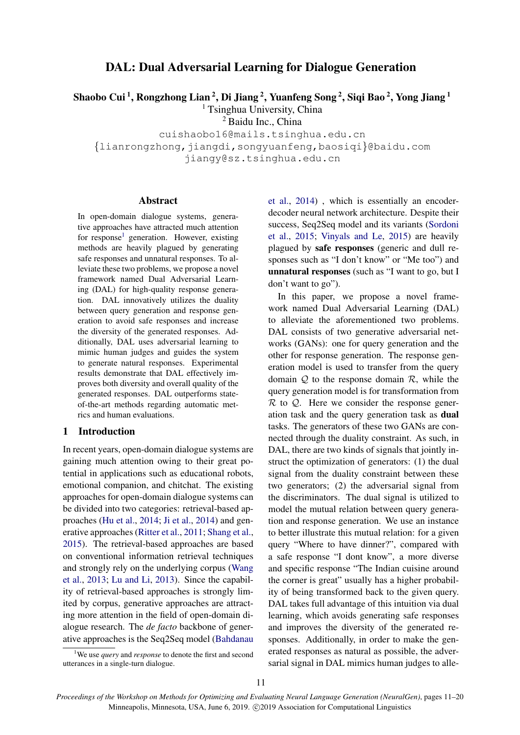# DAL: Dual Adversarial Learning for Dialogue Generation

Shaobo Cui <sup>1</sup>, Rongzhong Lian <sup>2</sup>, Di Jiang <sup>2</sup>, Yuanfeng Song <sup>2</sup>, Siqi Bao <sup>2</sup>, Yong Jiang <sup>1</sup>

<sup>1</sup> Tsinghua University, China

<sup>2</sup> Baidu Inc., China

cuishaobo16@mails.tsinghua.edu.cn {lianrongzhong,jiangdi,songyuanfeng,baosiqi}@baidu.com jiangy@sz.tsinghua.edu.cn

#### Abstract

In open-domain dialogue systems, generative approaches have attracted much attention for response<sup>[1](#page-0-0)</sup> generation. However, existing methods are heavily plagued by generating safe responses and unnatural responses. To alleviate these two problems, we propose a novel framework named Dual Adversarial Learning (DAL) for high-quality response generation. DAL innovatively utilizes the duality between query generation and response generation to avoid safe responses and increase the diversity of the generated responses. Additionally, DAL uses adversarial learning to mimic human judges and guides the system to generate natural responses. Experimental results demonstrate that DAL effectively improves both diversity and overall quality of the generated responses. DAL outperforms stateof-the-art methods regarding automatic metrics and human evaluations.

## 1 Introduction

In recent years, open-domain dialogue systems are gaining much attention owing to their great potential in applications such as educational robots, emotional companion, and chitchat. The existing approaches for open-domain dialogue systems can be divided into two categories: retrieval-based approaches [\(Hu et al.,](#page-8-0) [2014;](#page-8-0) [Ji et al.,](#page-8-1) [2014\)](#page-8-1) and generative approaches [\(Ritter et al.,](#page-8-2) [2011;](#page-8-2) [Shang et al.,](#page-8-3) [2015\)](#page-8-3). The retrieval-based approaches are based on conventional information retrieval techniques and strongly rely on the underlying corpus [\(Wang](#page-9-0) [et al.,](#page-9-0) [2013;](#page-9-0) [Lu and Li,](#page-8-4) [2013\)](#page-8-4). Since the capability of retrieval-based approaches is strongly limited by corpus, generative approaches are attracting more attention in the field of open-domain dialogue research. The *de facto* backbone of generative approaches is the Seq2Seq model [\(Bahdanau](#page-8-5)

<span id="page-0-0"></span><sup>1</sup>We use *query* and *response* [to denote the first and second](#page-8-5) [utterances in a single-turn dialogue.](#page-8-5)

[et al.,](#page-8-5) [2014\)](#page-8-5) , which is essentially an encoderdecoder neural network architecture. Despite their success, Seq2Seq model and its variants [\(Sordoni](#page-8-6) [et al.,](#page-8-6) [2015;](#page-8-6) [Vinyals and Le,](#page-9-1) [2015\)](#page-9-1) are heavily plagued by safe responses (generic and dull responses such as "I don't know" or "Me too") and unnatural responses (such as "I want to go, but I don't want to go").

In this paper, we propose a novel framework named Dual Adversarial Learning (DAL) to alleviate the aforementioned two problems. DAL consists of two generative adversarial networks (GANs): one for query generation and the other for response generation. The response generation model is used to transfer from the query domain  $Q$  to the response domain  $R$ , while the query generation model is for transformation from  $\mathcal R$  to  $\mathcal Q$ . Here we consider the response generation task and the query generation task as dual tasks. The generators of these two GANs are connected through the duality constraint. As such, in DAL, there are two kinds of signals that jointly instruct the optimization of generators: (1) the dual signal from the duality constraint between these two generators; (2) the adversarial signal from the discriminators. The dual signal is utilized to model the mutual relation between query generation and response generation. We use an instance to better illustrate this mutual relation: for a given query "Where to have dinner?", compared with a safe response "I dont know", a more diverse and specific response "The Indian cuisine around the corner is great" usually has a higher probability of being transformed back to the given query. DAL takes full advantage of this intuition via dual learning, which avoids generating safe responses and improves the diversity of the generated responses. Additionally, in order to make the generated responses as natural as possible, the adversarial signal in DAL mimics human judges to alle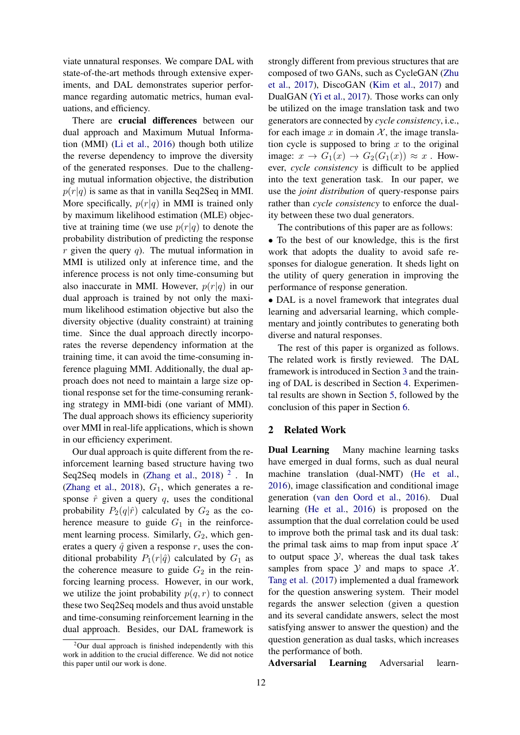viate unnatural responses. We compare DAL with state-of-the-art methods through extensive experiments, and DAL demonstrates superior performance regarding automatic metrics, human evaluations, and efficiency.

There are crucial differences between our dual approach and Maximum Mutual Information (MMI) [\(Li et al.,](#page-8-7) [2016\)](#page-8-7) though both utilize the reverse dependency to improve the diversity of the generated responses. Due to the challenging mutual information objective, the distribution  $p(r|q)$  is same as that in vanilla Seq2Seq in MMI. More specifically,  $p(r|q)$  in MMI is trained only by maximum likelihood estimation (MLE) objective at training time (we use  $p(r|q)$  to denote the probability distribution of predicting the response  $r$  given the query  $q$ ). The mutual information in MMI is utilized only at inference time, and the inference process is not only time-consuming but also inaccurate in MMI. However,  $p(r|q)$  in our dual approach is trained by not only the maximum likelihood estimation objective but also the diversity objective (duality constraint) at training time. Since the dual approach directly incorporates the reverse dependency information at the training time, it can avoid the time-consuming inference plaguing MMI. Additionally, the dual approach does not need to maintain a large size optional response set for the time-consuming reranking strategy in MMI-bidi (one variant of MMI). The dual approach shows its efficiency superiority over MMI in real-life applications, which is shown in our efficiency experiment.

Our dual approach is quite different from the reinforcement learning based structure having two Seq[2](#page-1-0)Seq models in  $(Zhang et al., 2018)<sup>2</sup>$  $(Zhang et al., 2018)<sup>2</sup>$  $(Zhang et al., 2018)<sup>2</sup>$  $(Zhang et al., 2018)<sup>2</sup>$ . In [\(Zhang et al.,](#page-9-2) [2018\)](#page-9-2),  $G_1$ , which generates a response  $\hat{r}$  given a query  $q$ , uses the conditional probability  $P_2(q|\hat{r})$  calculated by  $G_2$  as the coherence measure to guide  $G_1$  in the reinforcement learning process. Similarly,  $G_2$ , which generates a query  $\hat{q}$  given a response r, uses the conditional probability  $P_1(r|\hat{q})$  calculated by  $G_1$  as the coherence measure to guide  $G_2$  in the reinforcing learning process. However, in our work, we utilize the joint probability  $p(q, r)$  to connect these two Seq2Seq models and thus avoid unstable and time-consuming reinforcement learning in the dual approach. Besides, our DAL framework is

strongly different from previous structures that are composed of two GANs, such as CycleGAN [\(Zhu](#page-9-3) [et al.,](#page-9-3) [2017\)](#page-9-3), DiscoGAN [\(Kim et al.,](#page-8-8) [2017\)](#page-8-8) and DualGAN [\(Yi et al.,](#page-9-4) [2017\)](#page-9-4). Those works can only be utilized on the image translation task and two generators are connected by *cycle consistency*, i.e., for each image x in domain  $\mathcal{X}$ , the image translation cycle is supposed to bring  $x$  to the original image:  $x \to G_1(x) \to G_2(G_1(x)) \approx x$ . However, *cycle consistency* is difficult to be applied into the text generation task. In our paper, we use the *joint distribution* of query-response pairs rather than *cycle consistency* to enforce the duality between these two dual generators.

The contributions of this paper are as follows:

• To the best of our knowledge, this is the first work that adopts the duality to avoid safe responses for dialogue generation. It sheds light on the utility of query generation in improving the performance of response generation.

• DAL is a novel framework that integrates dual learning and adversarial learning, which complementary and jointly contributes to generating both diverse and natural responses.

The rest of this paper is organized as follows. The related work is firstly reviewed. The DAL framework is introduced in Section [3](#page-2-0) and the training of DAL is described in Section [4.](#page-4-0) Experimental results are shown in Section [5,](#page-5-0) followed by the conclusion of this paper in Section [6.](#page-7-0)

## 2 Related Work

Dual Learning Many machine learning tasks have emerged in dual forms, such as dual neural machine translation (dual-NMT) [\(He et al.,](#page-8-9) [2016\)](#page-8-9), image classification and conditional image generation [\(van den Oord et al.,](#page-8-10) [2016\)](#page-8-10). Dual learning [\(He et al.,](#page-8-9) [2016\)](#page-8-9) is proposed on the assumption that the dual correlation could be used to improve both the primal task and its dual task: the primal task aims to map from input space  $\mathcal{X}$ to output space  $\mathcal{Y}$ , whereas the dual task takes samples from space  $\mathcal Y$  and maps to space  $\mathcal X$ . [Tang et al.](#page-9-5) [\(2017\)](#page-9-5) implemented a dual framework for the question answering system. Their model regards the answer selection (given a question and its several candidate answers, select the most satisfying answer to answer the question) and the question generation as dual tasks, which increases the performance of both.

Adversarial Learning Adversarial learn-

<span id="page-1-0"></span> $2$ Our dual approach is finished independently with this work in addition to the crucial difference. We did not notice this paper until our work is done.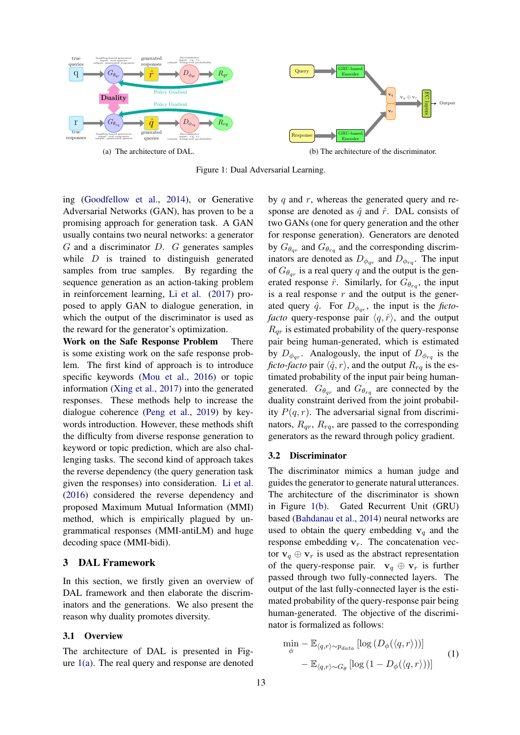<span id="page-2-1"></span>

Figure 1: Dual Adversarial Learning.

ing [\(Goodfellow et al.,](#page-8-11) [2014\)](#page-8-11), or Generative Adversarial Networks (GAN), has proven to be a promising approach for generation task. A GAN usually contains two neural networks: a generator G and a discriminator D. G generates samples while  $D$  is trained to distinguish generated samples from true samples. By regarding the sequence generation as an action-taking problem in reinforcement learning, [Li et al.](#page-8-12) [\(2017\)](#page-8-12) proposed to apply GAN to dialogue generation, in which the output of the discriminator is used as the reward for the generator's optimization.

Work on the Safe Response Problem There is some existing work on the safe response problem. The first kind of approach is to introduce specific keywords [\(Mou et al.,](#page-8-13) [2016\)](#page-8-13) or topic information [\(Xing et al.,](#page-9-6) [2017\)](#page-9-6) into the generated responses. These methods help to increase the dialogue coherence [\(Peng et al.,](#page-8-14) [2019\)](#page-8-14) by keywords introduction. However, these methods shift the difficulty from diverse response generation to keyword or topic prediction, which are also challenging tasks. The second kind of approach takes the reverse dependency (the query generation task given the responses) into consideration. [Li et al.](#page-8-7) [\(2016\)](#page-8-7) considered the reverse dependency and proposed Maximum Mutual Information (MMI) method, which is empirically plagued by ungrammatical responses (MMI-antiLM) and huge decoding space (MMI-bidi).

# <span id="page-2-0"></span>3 DAL Framework

In this section, we firstly given an overview of DAL framework and then elaborate the discriminators and the generations. We also present the reason why duality promotes diversity.

## 3.1 Overview

The architecture of DAL is presented in Figure  $1(a)$ . The real query and response are denoted

by  $q$  and  $r$ , whereas the generated query and response are denoted as  $\hat{q}$  and  $\hat{r}$ . DAL consists of two GANs (one for query generation and the other for response generation). Generators are denoted by  $G_{\theta_{qr}}$  and  $G_{\theta_{rq}}$  and the corresponding discriminators are denoted as  $D_{\phi_{qr}}$  and  $D_{\phi_{rq}}$ . The input of  $G_{\theta_{qr}}$  is a real query q and the output is the generated response  $\hat{r}$ . Similarly, for  $G_{\theta_{rq}}$ , the input is a real response  $r$  and the output is the generated query  $\hat{q}$ . For  $D_{\phi_{qr}}$ , the input is the *fictofacto* query-response pair  $\langle q, \hat{r} \rangle$ , and the output  $R_{\alpha r}$  is estimated probability of the query-response pair being human-generated, which is estimated by  $D_{\phi_{qr}}$ . Analogously, the input of  $D_{\phi_{rq}}$  is the *ficto-facto* pair  $\langle \hat{q}, r \rangle$ , and the output  $R_{rq}$  is the estimated probability of the input pair being humangenerated.  $G_{\theta_{qr}}$  and  $G_{\theta_{rq}}$  are connected by the duality constraint derived from the joint probability  $P(q, r)$ . The adversarial signal from discriminators,  $R_{qr}$ ,  $R_{rq}$ , are passed to the corresponding generators as the reward through policy gradient.

#### 3.2 Discriminator

The discriminator mimics a human judge and guides the generator to generate natural utterances. The architecture of the discriminator is shown in Figure [1\(b\).](#page-2-1) Gated Recurrent Unit (GRU) based [\(Bahdanau et al.,](#page-8-5) [2014\)](#page-8-5) neural networks are used to obtain the query embedding  $v_q$  and the response embedding  $v_r$ . The concatenation vector  $\mathbf{v}_q \oplus \mathbf{v}_r$  is used as the abstract representation of the query-response pair.  $v_q \oplus v_r$  is further passed through two fully-connected layers. The output of the last fully-connected layer is the estimated probability of the query-response pair being human-generated. The objective of the discriminator is formalized as follows:

<span id="page-2-2"></span>
$$
\min_{\phi} - \mathbb{E}_{\langle q, r \rangle \sim p_{data}} \left[ \log \left( D_{\phi}(\langle q, r \rangle) \right) \right] - \mathbb{E}_{\langle q, r \rangle \sim G_{\theta}} \left[ \log \left( 1 - D_{\phi}(\langle q, r \rangle) \right) \right]
$$
\n(1)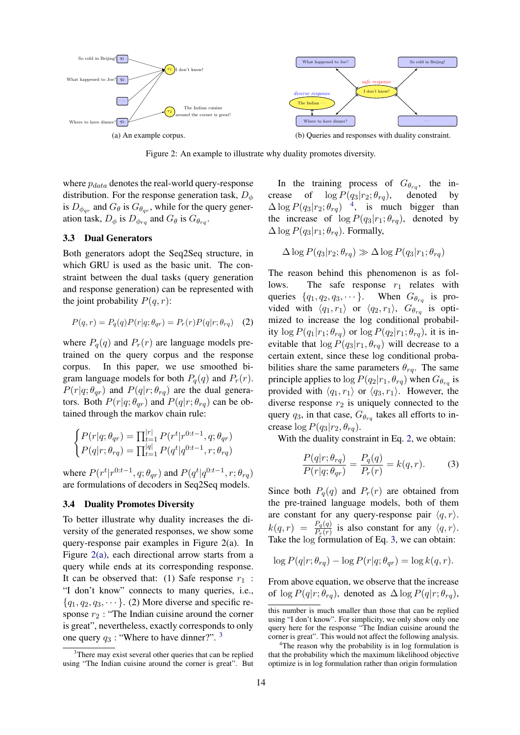<span id="page-3-0"></span>

Figure 2: An example to illustrate why duality promotes diversity.

where  $p_{data}$  denotes the real-world query-response distribution. For the response generation task,  $D_{\phi}$ is  $D_{\phi_{qr}}$  and  $G_{\theta}$  is  $G_{\theta_{qr}}$ , while for the query generation task,  $D_{\phi}$  is  $D_{\phi_{rq}}$  and  $G_{\theta}$  is  $G_{\theta_{rq}}$ .

#### 3.3 Dual Generators

Both generators adopt the Seq2Seq structure, in which GRU is used as the basic unit. The constraint between the dual tasks (query generation and response generation) can be represented with the joint probability  $P(q, r)$ :

$$
P(q,r) = P_q(q)P(r|q;\theta_{qr}) = P_r(r)P(q|r;\theta_{rq}) \quad (2)
$$

where  $P_q(q)$  and  $P_r(r)$  are language models pretrained on the query corpus and the response corpus. In this paper, we use smoothed bigram language models for both  $P_q(q)$  and  $P_r(r)$ .  $P(r|q;\theta_{qr})$  and  $P(q|r;\theta_{rq})$  are the dual generators. Both  $P(r|q; \theta_{qr})$  and  $P(q|r; \theta_{rq})$  can be obtained through the markov chain rule:

$$
\begin{cases}\nP(r|q;\theta_{qr}) = \prod_{t=1}^{|r|} P(r^t|r^{0:t-1}, q; \theta_{qr}) \\
P(q|r;\theta_{rq}) = \prod_{t=1}^{|q|} P(q^t|q^{0:t-1}, r; \theta_{rq})\n\end{cases}
$$

where  $P(r^t|r^{0:t-1}, q; \theta_{qr})$  and  $P(q^t|q^{0:t-1}, r; \theta_{rq})$ are formulations of decoders in Seq2Seq models.

#### 3.4 Duality Promotes Diversity

To better illustrate why duality increases the diversity of the generated responses, we show some query-response pair examples in Figure 2(a). In Figure [2\(a\),](#page-3-0) each directional arrow starts from a query while ends at its corresponding response. It can be observed that: (1) Safe response  $r_1$  : "I don't know" connects to many queries, i.e.,  ${q_1, q_2, q_3, \dots}$ . (2) More diverse and specific response  $r_2$ : "The Indian cuisine around the corner is great", nevertheless, exactly corresponds to only one query  $q_3$  $q_3$ : "Where to have dinner?". <sup>3</sup>

In the training process of  $G_{\theta_{rq}}$ , the increase of  $\log P(q_3|r_2;\theta_{rq})$ , denoted by  $\Delta \log P(q_3 | r_2; \theta_{rq})$ <sup>[4](#page-3-2)</sup>, is much bigger than the increase of  $\log P(q_3|r_1;\theta_{rq})$ , denoted by  $\Delta \log P(q_3|r_1;\theta_{ra})$ . Formally,

$$
\Delta \log P(q_3|r_2; \theta_{rq}) \gg \Delta \log P(q_3|r_1; \theta_{rq})
$$

<span id="page-3-3"></span>The reason behind this phenomenon is as follows. The safe response  $r_1$  relates with queries  $\{q_1, q_2, q_3, \dots\}$ . When  $G_{\theta_{rq}}$  is provided with  $\langle q_1, r_1 \rangle$  or  $\langle q_2, r_1 \rangle$ ,  $G_{\theta_{rq}}$  is optimized to increase the log conditional probability  $\log P(q_1|r_1;\theta_{rq})$  or  $\log P(q_2|r_1;\theta_{rq})$ , it is inevitable that  $\log P(q_3|r_1, \theta_{rq})$  will decrease to a certain extent, since these log conditional probabilities share the same parameters  $\theta_{ra}$ . The same principle applies to  $\log P(q_2|r_1, \theta_{rq})$  when  $G_{\theta_{rq}}$  is provided with  $\langle q_1, r_1 \rangle$  or  $\langle q_3, r_1 \rangle$ . However, the diverse response  $r_2$  is uniquely connected to the query  $q_3$ , in that case,  $G_{\theta_{rq}}$  takes all efforts to increase  $\log P(q_3|r_2, \theta_{rq}).$ 

With the duality constraint in Eq. [2,](#page-3-3) we obtain:

<span id="page-3-4"></span>
$$
\frac{P(q|r; \theta_{rq})}{P(r|q; \theta_{qr})} = \frac{P_q(q)}{P_r(r)} = k(q, r). \tag{3}
$$

Since both  $P_q(q)$  and  $P_r(r)$  are obtained from the pre-trained language models, both of them are constant for any query-response pair  $\langle q, r \rangle$ .  $k(q, r) = \frac{P_q(q)}{P_r(r)}$  is also constant for any  $\langle q, r \rangle$ . Take the log formulation of Eq. [3,](#page-3-4) we can obtain:

$$
\log P(q|r; \theta_{rq}) - \log P(r|q; \theta_{qr}) = \log k(q, r).
$$

From above equation, we observe that the increase of  $\log P(q|r; \theta_{rq})$ , denoted as  $\Delta \log P(q|r; \theta_{rq})$ ,

<span id="page-3-1"></span><sup>&</sup>lt;sup>3</sup>There may exist several other queries that can be replied using "The Indian cuisine around the corner is great". But

this number is much smaller than those that can be replied using "I don't know". For simplicity, we only show only one query here for the response "The Indian cuisine around the corner is great". This would not affect the following analysis.

<span id="page-3-2"></span><sup>&</sup>lt;sup>4</sup>The reason why the probability is in log formulation is that the probability which the maximum likelihood objective optimize is in log formulation rather than origin formulation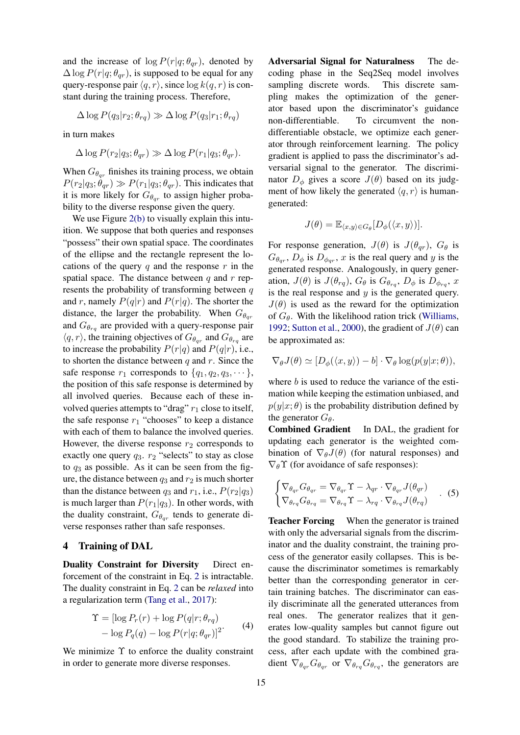and the increase of  $\log P(r|q; \theta_{qr})$ , denoted by  $\Delta \log P(r|q;\theta_{qr})$ , is supposed to be equal for any query-response pair  $\langle q, r \rangle$ , since  $\log k(q, r)$  is constant during the training process. Therefore,

$$
\Delta \log P(q_3 | r_2; \theta_{rq}) \gg \Delta \log P(q_3 | r_1; \theta_{rq})
$$

in turn makes

$$
\Delta \log P(r_2|q_3;\theta_{qr}) \gg \Delta \log P(r_1|q_3;\theta_{qr}).
$$

When  $G_{\theta_{\alpha r}}$  finishes its training process, we obtain  $P(r_2|q_3;\theta_{qr}) \gg P(r_1|q_3;\theta_{qr})$ . This indicates that it is more likely for  $G_{\theta_{qr}}$  to assign higher probability to the diverse response given the query.

We use Figure [2\(b\)](#page-3-0) to visually explain this intuition. We suppose that both queries and responses "possess" their own spatial space. The coordinates of the ellipse and the rectangle represent the locations of the query q and the response  $r$  in the spatial space. The distance between  $q$  and  $r$  represents the probability of transforming between  $q$ and r, namely  $P(q|r)$  and  $P(r|q)$ . The shorter the distance, the larger the probability. When  $G_{\theta_{\alpha r}}$ and  $G_{\theta_{rq}}$  are provided with a query-response pair  $\langle q, r \rangle$ , the training objectives of  $G_{\theta_{qr}}$  and  $G_{\theta_{rq}}$  are to increase the probability  $P(r|q)$  and  $P(q|r)$ , i.e., to shorten the distance between  $q$  and  $r$ . Since the safe response  $r_1$  corresponds to  $\{q_1, q_2, q_3, \dots\}$ , the position of this safe response is determined by all involved queries. Because each of these involved queries attempts to "drag"  $r_1$  close to itself, the safe response  $r_1$  "chooses" to keep a distance with each of them to balance the involved queries. However, the diverse response  $r_2$  corresponds to exactly one query  $q_3$ .  $r_2$  "selects" to stay as close to  $q_3$  as possible. As it can be seen from the figure, the distance between  $q_3$  and  $r_2$  is much shorter than the distance between  $q_3$  and  $r_1$ , i.e.,  $P(r_2|q_3)$ is much larger than  $P(r_1|q_3)$ . In other words, with the duality constraint,  $G_{\theta_{qr}}$  tends to generate diverse responses rather than safe responses.

## <span id="page-4-0"></span>4 Training of DAL

Duality Constraint for Diversity Direct enforcement of the constraint in Eq. [2](#page-3-3) is intractable. The duality constraint in Eq. [2](#page-3-3) can be *relaxed* into a regularization term [\(Tang et al.,](#page-9-5) [2017\)](#page-9-5):

$$
\begin{aligned} \Upsilon &= [\log P_r(r) + \log P(q|r; \theta_{rq}) \\ &- \log P_q(q) - \log P(r|q; \theta_{qr})]^2 \end{aligned} \tag{4}
$$

We minimize  $\Upsilon$  to enforce the duality constraint in order to generate more diverse responses.

Adversarial Signal for Naturalness The decoding phase in the Seq2Seq model involves sampling discrete words. This discrete sampling makes the optimization of the generator based upon the discriminator's guidance non-differentiable. To circumvent the nondifferentiable obstacle, we optimize each generator through reinforcement learning. The policy gradient is applied to pass the discriminator's adversarial signal to the generator. The discriminator  $D_{\phi}$  gives a score  $J(\theta)$  based on its judgment of how likely the generated  $\langle q, r \rangle$  is humangenerated:

$$
J(\theta) = \mathbb{E}_{\langle x,y \rangle \in G_{\theta}}[D_{\phi}(\langle x,y \rangle)].
$$

For response generation,  $J(\theta)$  is  $J(\theta_{qr})$ ,  $G_{\theta}$  is  $G_{\theta_{qr}}$ ,  $D_{\phi}$  is  $D_{\phi_{qr}}$ , x is the real query and y is the generated response. Analogously, in query generation,  $J(\theta)$  is  $J(\theta_{rq})$ ,  $G_{\theta}$  is  $G_{\theta_{rq}}, D_{\phi}$  is  $D_{\phi_{rq}}, x$ is the real response and  $y$  is the generated query.  $J(\theta)$  is used as the reward for the optimization of  $G_{\theta}$ . With the likelihood ration trick [\(Williams,](#page-9-7) [1992;](#page-9-7) [Sutton et al.,](#page-8-15) [2000\)](#page-8-15), the gradient of  $J(\theta)$  can be approximated as:

$$
\nabla_{\theta} J(\theta) \simeq [D_{\phi}(\langle x, y \rangle) - b] \cdot \nabla_{\theta} \log(p(y|x; \theta)),
$$

where  $b$  is used to reduce the variance of the estimation while keeping the estimation unbiased, and  $p(y|x; \theta)$  is the probability distribution defined by the generator  $G_{\theta}$ .

Combined Gradient In DAL, the gradient for updating each generator is the weighted combination of  $\nabla_{\theta}J(\theta)$  (for natural responses) and  $\nabla_{\theta} \Upsilon$  (for avoidance of safe responses):

<span id="page-4-1"></span>
$$
\begin{cases}\n\nabla_{\theta_{qr}} G_{\theta_{qr}} = \nabla_{\theta_{qr}} \Upsilon - \lambda_{qr} \cdot \nabla_{\theta_{qr}} J(\theta_{qr}) \\
\nabla_{\theta_{rq}} G_{\theta_{rq}} = \nabla_{\theta_{rq}} \Upsilon - \lambda_{rq} \cdot \nabla_{\theta_{rq}} J(\theta_{rq})\n\end{cases} (5)
$$

Teacher Forcing When the generator is trained with only the adversarial signals from the discriminator and the duality constraint, the training process of the generator easily collapses. This is because the discriminator sometimes is remarkably better than the corresponding generator in certain training batches. The discriminator can easily discriminate all the generated utterances from real ones. The generator realizes that it generates low-quality samples but cannot figure out the good standard. To stabilize the training process, after each update with the combined gradient  $\nabla_{\theta_{qr}} G_{\theta_{qr}}$  or  $\nabla_{\theta_{rq}} G_{\theta_{rq}}$ , the generators are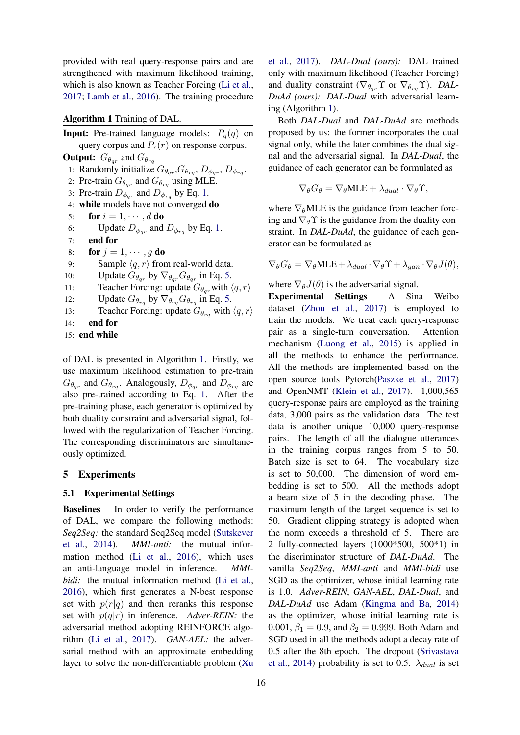provided with real query-response pairs and are strengthened with maximum likelihood training, which is also known as Teacher Forcing [\(Li et al.,](#page-8-12) [2017;](#page-8-12) [Lamb et al.,](#page-8-16) [2016\)](#page-8-16). The training procedure

# <span id="page-5-1"></span>Algorithm 1 Training of DAL.

**Input:** Pre-trained language models:  $P_q(q)$  on query corpus and  $P_r(r)$  on response corpus. **Output:**  $G_{\theta_{qr}}$  and  $G_{\theta_{rq}}$ 1: Randomly initialize  $G_{\theta_{qr}}, G_{\theta_{rq}}, D_{\phi_{qr}}, D_{\phi_{rq}}$ . 2: Pre-train  $G_{\theta_{qr}}$  and  $G_{\theta_{rq}}$  using MLE. 3: Pre-train  $D_{\phi_{qr}}$  and  $D_{\phi_{rq}}$  by Eq. [1.](#page-2-2) 4: while models have not converged do 5: for  $i = 1, \cdots, d$  do 6: Update  $D_{\phi_{qr}}$  and  $D_{\phi_{rq}}$  by Eq. [1.](#page-2-2) 7: end for 8: for  $j = 1, \dots, q$  do 9: Sample  $\langle q, r \rangle$  from real-world data. 10: Update  $G_{\theta_{qr}}$  by  $\nabla_{\theta_{qr}} G_{\theta_{qr}}$  in Eq. [5.](#page-4-1) 11: Teacher Forcing: update  $G_{\theta_{\alpha r}}$  with  $\langle q, r \rangle$ 12: Update  $G_{\theta_{rq}}$  by  $\nabla_{\theta_{rq}} G_{\theta_{rq}}$  in Eq. [5.](#page-4-1) 13: Teacher Forcing: update  $G_{\theta_{ra}}$  with  $\langle q, r \rangle$ 14: end for 15: end while

of DAL is presented in Algorithm [1.](#page-5-1) Firstly, we use maximum likelihood estimation to pre-train  $G_{\theta_{qr}}$  and  $G_{\theta_{rq}}$ . Analogously,  $D_{\phi_{qr}}$  and  $D_{\phi_{rq}}$  are also pre-trained according to Eq. [1.](#page-2-2) After the pre-training phase, each generator is optimized by both duality constraint and adversarial signal, followed with the regularization of Teacher Forcing. The corresponding discriminators are simultaneously optimized.

## <span id="page-5-0"></span>5 Experiments

## 5.1 Experimental Settings

**Baselines** In order to verify the performance of DAL, we compare the following methods: *Seq2Seq:* the standard Seq2Seq model [\(Sutskever](#page-8-17) [et al.,](#page-8-17) [2014\)](#page-8-17). *MMI-anti:* the mutual information method [\(Li et al.,](#page-8-7) [2016\)](#page-8-7), which uses an anti-language model in inference. *MMIbidi:* the mutual information method [\(Li et al.,](#page-8-7) [2016\)](#page-8-7), which first generates a N-best response set with  $p(r|q)$  and then reranks this response set with  $p(q|r)$  in inference. *Adver-REIN:* the adversarial method adopting REINFORCE algorithm [\(Li et al.,](#page-8-12) [2017\)](#page-8-12). *GAN-AEL:* the adversarial method with an approximate embedding layer to solve the non-differentiable problem [\(Xu](#page-9-8)

[et al.,](#page-9-8) [2017\)](#page-9-8). *DAL-Dual (ours):* DAL trained only with maximum likelihood (Teacher Forcing) and duality constraint ( $\nabla_{\theta_{qr}} \Upsilon$  or  $\nabla_{\theta_{rq}} \Upsilon$ ). *DAL*-*DuAd (ours): DAL-Dual* with adversarial learning (Algorithm [1\)](#page-5-1).

Both *DAL-Dual* and *DAL-DuAd* are methods proposed by us: the former incorporates the dual signal only, while the later combines the dual signal and the adversarial signal. In *DAL-Dual*, the guidance of each generator can be formulated as

$$
\nabla_{\theta} G_{\theta} = \nabla_{\theta} \text{MLE} + \lambda_{dual} \cdot \nabla_{\theta} \Upsilon,
$$

where  $\nabla_{\theta}$ MLE is the guidance from teacher forcing and  $\nabla_{\theta} \Upsilon$  is the guidance from the duality constraint. In *DAL-DuAd*, the guidance of each generator can be formulated as

$$
\nabla_{\theta} G_{\theta} = \nabla_{\theta} \text{MLE} + \lambda_{dual} \cdot \nabla_{\theta} \Upsilon + \lambda_{gan} \cdot \nabla_{\theta} J(\theta),
$$

where  $\nabla_{\theta}J(\theta)$  is the adversarial signal.

Experimental Settings A Sina Weibo dataset [\(Zhou et al.,](#page-9-9) [2017\)](#page-9-9) is employed to train the models. We treat each query-response pair as a single-turn conversation. Attention mechanism [\(Luong et al.,](#page-8-18) [2015\)](#page-8-18) is applied in all the methods to enhance the performance. All the methods are implemented based on the open source tools Pytorch[\(Paszke et al.,](#page-8-19) [2017\)](#page-8-19) and OpenNMT [\(Klein et al.,](#page-8-20) [2017\)](#page-8-20). 1,000,565 query-response pairs are employed as the training data, 3,000 pairs as the validation data. The test data is another unique 10,000 query-response pairs. The length of all the dialogue utterances in the training corpus ranges from 5 to 50. Batch size is set to 64. The vocabulary size is set to 50,000. The dimension of word embedding is set to 500. All the methods adopt a beam size of 5 in the decoding phase. The maximum length of the target sequence is set to 50. Gradient clipping strategy is adopted when the norm exceeds a threshold of 5. There are 2 fully-connected layers (1000\*500, 500\*1) in the discriminator structure of *DAL-DuAd*. The vanilla *Seq2Seq*, *MMI-anti* and *MMI-bidi* use SGD as the optimizer, whose initial learning rate is 1.0. *Adver-REIN*, *GAN-AEL*, *DAL-Dual*, and *DAL-DuAd* use Adam [\(Kingma and Ba,](#page-8-21) [2014\)](#page-8-21) as the optimizer, whose initial learning rate is 0.001,  $\beta_1 = 0.9$ , and  $\beta_2 = 0.999$ . Both Adam and SGD used in all the methods adopt a decay rate of 0.5 after the 8th epoch. The dropout [\(Srivastava](#page-8-22) [et al.,](#page-8-22) [2014\)](#page-8-22) probability is set to 0.5.  $\lambda_{dual}$  is set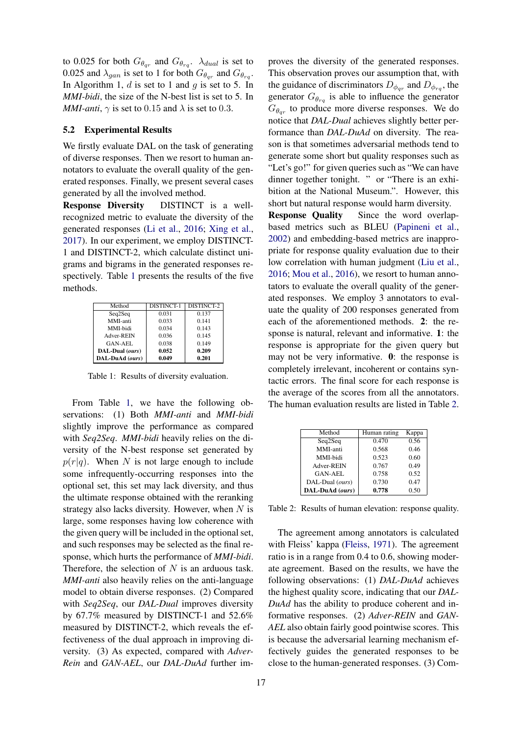to 0.025 for both  $G_{\theta_{qr}}$  and  $G_{\theta_{rq}}$ .  $\lambda_{dual}$  is set to 0.025 and  $\lambda_{gan}$  is set to 1 for both  $G_{\theta_{qr}}$  and  $G_{\theta_{rq}}$ . In Algorithm 1,  $d$  is set to 1 and  $g$  is set to 5. In *MMI-bidi*, the size of the N-best list is set to 5. In *MMI-anti*,  $\gamma$  is set to 0.15 and  $\lambda$  is set to 0.3.

# 5.2 Experimental Results

We firstly evaluate DAL on the task of generating of diverse responses. Then we resort to human annotators to evaluate the overall quality of the generated responses. Finally, we present several cases generated by all the involved method.

Response Diversity DISTINCT is a wellrecognized metric to evaluate the diversity of the generated responses [\(Li et al.,](#page-8-7) [2016;](#page-8-7) [Xing et al.,](#page-9-6) [2017\)](#page-9-6). In our experiment, we employ DISTINCT-1 and DISTINCT-2, which calculate distinct unigrams and bigrams in the generated responses respectively. Table [1](#page-6-0) presents the results of the five methods.

<span id="page-6-0"></span>

| Method          | DISTINCT-1 | DISTINCT-2 |  |
|-----------------|------------|------------|--|
| Seq2Seq         | 0.031      | 0.137      |  |
| MMI-anti        | 0.033      | 0.141      |  |
| MMI-bidi        | 0.034      | 0.143      |  |
| Adver-REIN      | 0.036      | 0.145      |  |
| <b>GAN-AEL</b>  | 0.038      | 0.149      |  |
| DAL-Dual (ours) | 0.052      | 0.209      |  |
| DAL-DuAd (ours) | 0.049      | 0.201      |  |

Table 1: Results of diversity evaluation.

From Table [1,](#page-6-0) we have the following observations: (1) Both *MMI-anti* and *MMI-bidi* slightly improve the performance as compared with *Seq2Seq*. *MMI-bidi* heavily relies on the diversity of the N-best response set generated by  $p(r|q)$ . When N is not large enough to include some infrequently-occurring responses into the optional set, this set may lack diversity, and thus the ultimate response obtained with the reranking strategy also lacks diversity. However, when  $N$  is large, some responses having low coherence with the given query will be included in the optional set, and such responses may be selected as the final response, which hurts the performance of *MMI-bidi*. Therefore, the selection of  $N$  is an arduous task. *MMI-anti* also heavily relies on the anti-language model to obtain diverse responses. (2) Compared with *Seq2Seq*, our *DAL-Dual* improves diversity by 67.7% measured by DISTINCT-1 and 52.6% measured by DISTINCT-2, which reveals the effectiveness of the dual approach in improving diversity. (3) As expected, compared with *Adver-Rein* and *GAN-AEL*, our *DAL-DuAd* further improves the diversity of the generated responses. This observation proves our assumption that, with the guidance of discriminators  $D_{\phi_{qr}}$  and  $D_{\phi_{rq}}$ , the generator  $G_{\theta_{rq}}$  is able to influence the generator  $G_{\theta_{qr}}$  to produce more diverse responses. We do notice that *DAL-Dual* achieves slightly better performance than *DAL-DuAd* on diversity. The reason is that sometimes adversarial methods tend to generate some short but quality responses such as "Let's go!" for given queries such as "We can have dinner together tonight. " or "There is an exhibition at the National Museum.". However, this short but natural response would harm diversity.

Response Quality Since the word overlapbased metrics such as BLEU [\(Papineni et al.,](#page-8-23) [2002\)](#page-8-23) and embedding-based metrics are inappropriate for response quality evaluation due to their low correlation with human judgment [\(Liu et al.,](#page-8-24) [2016;](#page-8-24) [Mou et al.,](#page-8-13) [2016\)](#page-8-13), we resort to human annotators to evaluate the overall quality of the generated responses. We employ 3 annotators to evaluate the quality of 200 responses generated from each of the aforementioned methods. 2: the response is natural, relevant and informative. 1: the response is appropriate for the given query but may not be very informative. 0: the response is completely irrelevant, incoherent or contains syntactic errors. The final score for each response is the average of the scores from all the annotators. The human evaluation results are listed in Table [2.](#page-6-1)

<span id="page-6-1"></span>

| Method          | Human rating | Kappa |
|-----------------|--------------|-------|
| Seq2Seq         | 0.470        | 0.56  |
| MMI-anti        | 0.568        | 0.46  |
| MMI-bidi        | 0.523        | 0.60  |
| Adver-REIN      | 0.767        | 0.49  |
| GAN-AEL         | 0.758        | 0.52  |
| DAL-Dual (ours) | 0.730        | 0.47  |
| DAL-DuAd (ours) | 0.778        | 0.50  |

Table 2: Results of human elevation: response quality.

The agreement among annotators is calculated with Fleiss' kappa [\(Fleiss,](#page-8-25) [1971\)](#page-8-25). The agreement ratio is in a range from 0.4 to 0.6, showing moderate agreement. Based on the results, we have the following observations: (1) *DAL-DuAd* achieves the highest quality score, indicating that our *DAL-DuAd* has the ability to produce coherent and informative responses. (2) *Adver-REIN* and *GAN-AEL* also obtain fairly good pointwise scores. This is because the adversarial learning mechanism effectively guides the generated responses to be close to the human-generated responses. (3) Com-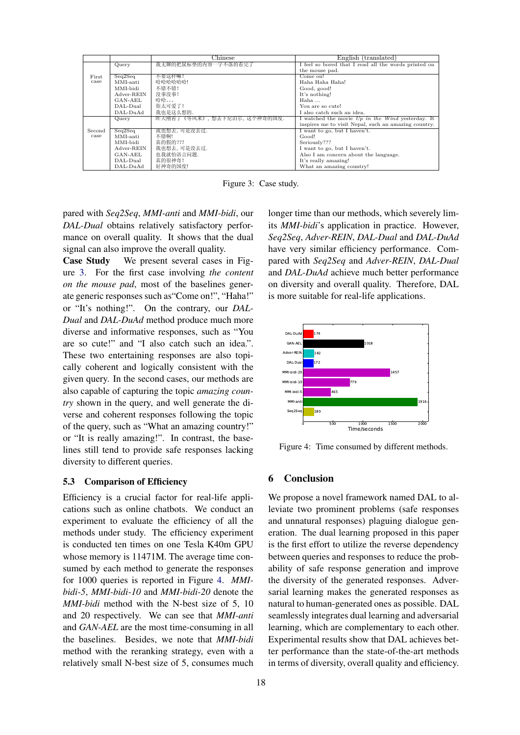<span id="page-7-1"></span>

|        |            | Chinese                    | English (translated)                                 |
|--------|------------|----------------------------|------------------------------------------------------|
|        | Query      | 我无聊的把鼠标垫的内容一字不落的看完了        | I feel so bored that I read all the words printed on |
|        |            |                            | the mouse pad.                                       |
| First  | Seq2Seq    | 不要这样嘛!                     | Come on!                                             |
| case   | MMI-anti   | 哈哈哈哈哈哈!                    | Haha Haha Haha!                                      |
|        | MMI-bidi   | 不错不错!                      | Good, good!                                          |
|        | Adver-REIN | 没事没事!                      | It's nothing!                                        |
|        | $GAN-AEL$  | 哈哈。。。                      | Haha                                                 |
|        | $DAL-Dual$ | 你太可爱了!                     | You are so cute!                                     |
|        | DAL-DuAd   | 我也是这么想的.                   | I also catch such an idea.                           |
|        | Query      | 昨天刚看了《等风来》,想去下尼泊尔,这个神奇的国度. | I watched the movie $Up$ in the Wind yesterday. It   |
|        |            |                            | inspires me to visit Nepal, such an amazing country. |
| Second | Seq2Seq    | 我也想去,可是没去过.                | I want to go, but I haven't.                         |
| case   | MMI-anti   | 不错啊!                       | Good!                                                |
|        | MMI-bidi   | 真的假的???                    | Seriously???                                         |
|        | Adver-REIN | 我也想去,可是没去过.                | I want to go, but I haven't.                         |
|        | GAN-AEL    | 也我就怕语言问题.                  | Also I am concern about the language.                |
|        | $DAL-Dual$ | 真的很神奇!                     | It's really amazing!                                 |
|        | DAL-DuAd   | 好神奇的国度!                    | What an amazing country!                             |

Figure 3: Case study.

pared with *Seq2Seq*, *MMI-anti* and *MMI-bidi*, our *DAL-Dual* obtains relatively satisfactory performance on overall quality. It shows that the dual signal can also improve the overall quality.

Case Study We present several cases in Figure [3.](#page-7-1) For the first case involving *the content on the mouse pad*, most of the baselines generate generic responses such as"Come on!", "Haha!" or "It's nothing!". On the contrary, our *DAL-Dual* and *DAL-DuAd* method produce much more diverse and informative responses, such as "You are so cute!" and "I also catch such an idea.". These two entertaining responses are also topically coherent and logically consistent with the given query. In the second cases, our methods are also capable of capturing the topic *amazing country* shown in the query, and well generate the diverse and coherent responses following the topic of the query, such as "What an amazing country!" or "It is really amazing!". In contrast, the baselines still tend to provide safe responses lacking diversity to different queries.

## 5.3 Comparison of Efficiency

Efficiency is a crucial factor for real-life applications such as online chatbots. We conduct an experiment to evaluate the efficiency of all the methods under study. The efficiency experiment is conducted ten times on one Tesla K40m GPU whose memory is 11471M. The average time consumed by each method to generate the responses for 1000 queries is reported in Figure [4.](#page-7-2) *MMIbidi-5*, *MMI-bidi-10* and *MMI-bidi-20* denote the *MMI-bidi* method with the N-best size of 5, 10 and 20 respectively. We can see that *MMI-anti* and *GAN-AEL* are the most time-consuming in all the baselines. Besides, we note that *MMI-bidi* method with the reranking strategy, even with a relatively small N-best size of 5, consumes much

longer time than our methods, which severely limits *MMI-bidi*'s application in practice. However, *Seq2Seq*, *Adver-REIN*, *DAL-Dual* and *DAL-DuAd* have very similar efficiency performance. Compared with *Seq2Seq* and *Adver-REIN*, *DAL-Dual* and *DAL-DuAd* achieve much better performance on diversity and overall quality. Therefore, DAL is more suitable for real-life applications.

<span id="page-7-2"></span>

Figure 4: Time consumed by different methods.

# <span id="page-7-0"></span>6 Conclusion

We propose a novel framework named DAL to alleviate two prominent problems (safe responses and unnatural responses) plaguing dialogue generation. The dual learning proposed in this paper is the first effort to utilize the reverse dependency between queries and responses to reduce the probability of safe response generation and improve the diversity of the generated responses. Adversarial learning makes the generated responses as natural to human-generated ones as possible. DAL seamlessly integrates dual learning and adversarial learning, which are complementary to each other. Experimental results show that DAL achieves better performance than the state-of-the-art methods in terms of diversity, overall quality and efficiency.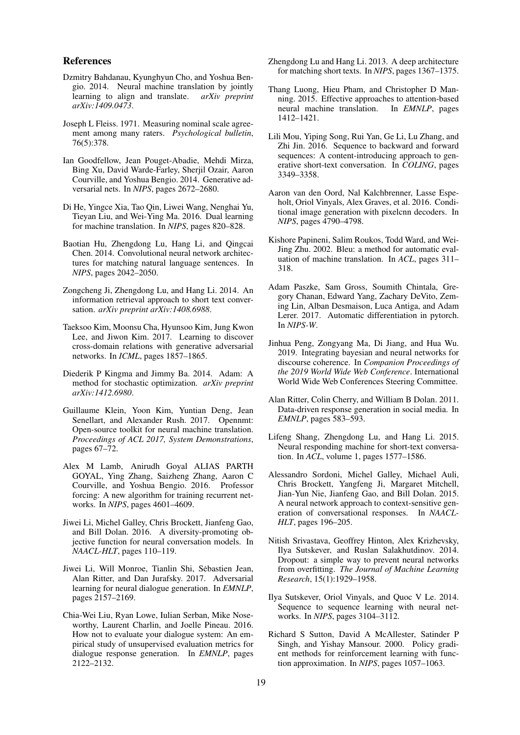#### References

- <span id="page-8-5"></span>Dzmitry Bahdanau, Kyunghyun Cho, and Yoshua Bengio. 2014. Neural machine translation by jointly learning to align and translate. *arXiv preprint arXiv:1409.0473*.
- <span id="page-8-25"></span>Joseph L Fleiss. 1971. Measuring nominal scale agreement among many raters. *Psychological bulletin*, 76(5):378.
- <span id="page-8-11"></span>Ian Goodfellow, Jean Pouget-Abadie, Mehdi Mirza, Bing Xu, David Warde-Farley, Sherjil Ozair, Aaron Courville, and Yoshua Bengio. 2014. Generative adversarial nets. In *NIPS*, pages 2672–2680.
- <span id="page-8-9"></span>Di He, Yingce Xia, Tao Qin, Liwei Wang, Nenghai Yu, Tieyan Liu, and Wei-Ying Ma. 2016. Dual learning for machine translation. In *NIPS*, pages 820–828.
- <span id="page-8-0"></span>Baotian Hu, Zhengdong Lu, Hang Li, and Qingcai Chen. 2014. Convolutional neural network architectures for matching natural language sentences. In *NIPS*, pages 2042–2050.
- <span id="page-8-1"></span>Zongcheng Ji, Zhengdong Lu, and Hang Li. 2014. An information retrieval approach to short text conversation. *arXiv preprint arXiv:1408.6988*.
- <span id="page-8-8"></span>Taeksoo Kim, Moonsu Cha, Hyunsoo Kim, Jung Kwon Lee, and Jiwon Kim. 2017. Learning to discover cross-domain relations with generative adversarial networks. In *ICML*, pages 1857–1865.
- <span id="page-8-21"></span>Diederik P Kingma and Jimmy Ba. 2014. Adam: A method for stochastic optimization. *arXiv preprint arXiv:1412.6980*.
- <span id="page-8-20"></span>Guillaume Klein, Yoon Kim, Yuntian Deng, Jean Senellart, and Alexander Rush. 2017. Opennmt: Open-source toolkit for neural machine translation. *Proceedings of ACL 2017, System Demonstrations*, pages 67–72.
- <span id="page-8-16"></span>Alex M Lamb, Anirudh Goyal ALIAS PARTH GOYAL, Ying Zhang, Saizheng Zhang, Aaron C Courville, and Yoshua Bengio. 2016. Professor forcing: A new algorithm for training recurrent networks. In *NIPS*, pages 4601–4609.
- <span id="page-8-7"></span>Jiwei Li, Michel Galley, Chris Brockett, Jianfeng Gao, and Bill Dolan. 2016. A diversity-promoting objective function for neural conversation models. In *NAACL-HLT*, pages 110–119.
- <span id="page-8-12"></span>Jiwei Li, Will Monroe, Tianlin Shi, Sebastien Jean, Alan Ritter, and Dan Jurafsky. 2017. Adversarial learning for neural dialogue generation. In *EMNLP*, pages 2157–2169.
- <span id="page-8-24"></span>Chia-Wei Liu, Ryan Lowe, Iulian Serban, Mike Noseworthy, Laurent Charlin, and Joelle Pineau. 2016. How not to evaluate your dialogue system: An empirical study of unsupervised evaluation metrics for dialogue response generation. In *EMNLP*, pages 2122–2132.
- <span id="page-8-4"></span>Zhengdong Lu and Hang Li. 2013. A deep architecture for matching short texts. In *NIPS*, pages 1367–1375.
- <span id="page-8-18"></span>Thang Luong, Hieu Pham, and Christopher D Manning. 2015. Effective approaches to attention-based neural machine translation. In *EMNLP*, pages 1412–1421.
- <span id="page-8-13"></span>Lili Mou, Yiping Song, Rui Yan, Ge Li, Lu Zhang, and Zhi Jin. 2016. Sequence to backward and forward sequences: A content-introducing approach to generative short-text conversation. In *COLING*, pages 3349–3358.
- <span id="page-8-10"></span>Aaron van den Oord, Nal Kalchbrenner, Lasse Espeholt, Oriol Vinyals, Alex Graves, et al. 2016. Conditional image generation with pixelcnn decoders. In *NIPS*, pages 4790–4798.
- <span id="page-8-23"></span>Kishore Papineni, Salim Roukos, Todd Ward, and Wei-Jing Zhu. 2002. Bleu: a method for automatic evaluation of machine translation. In *ACL*, pages 311– 318.
- <span id="page-8-19"></span>Adam Paszke, Sam Gross, Soumith Chintala, Gregory Chanan, Edward Yang, Zachary DeVito, Zeming Lin, Alban Desmaison, Luca Antiga, and Adam Lerer. 2017. Automatic differentiation in pytorch. In *NIPS-W*.
- <span id="page-8-14"></span>Jinhua Peng, Zongyang Ma, Di Jiang, and Hua Wu. 2019. Integrating bayesian and neural networks for discourse coherence. In *Companion Proceedings of the 2019 World Wide Web Conference*. International World Wide Web Conferences Steering Committee.
- <span id="page-8-2"></span>Alan Ritter, Colin Cherry, and William B Dolan. 2011. Data-driven response generation in social media. In *EMNLP*, pages 583–593.
- <span id="page-8-3"></span>Lifeng Shang, Zhengdong Lu, and Hang Li. 2015. Neural responding machine for short-text conversation. In *ACL*, volume 1, pages 1577–1586.
- <span id="page-8-6"></span>Alessandro Sordoni, Michel Galley, Michael Auli, Chris Brockett, Yangfeng Ji, Margaret Mitchell, Jian-Yun Nie, Jianfeng Gao, and Bill Dolan. 2015. A neural network approach to context-sensitive generation of conversational responses. In *NAACL-HLT*, pages 196–205.
- <span id="page-8-22"></span>Nitish Srivastava, Geoffrey Hinton, Alex Krizhevsky, Ilya Sutskever, and Ruslan Salakhutdinov. 2014. Dropout: a simple way to prevent neural networks from overfitting. *The Journal of Machine Learning Research*, 15(1):1929–1958.
- <span id="page-8-17"></span>Ilya Sutskever, Oriol Vinyals, and Quoc V Le. 2014. Sequence to sequence learning with neural networks. In *NIPS*, pages 3104–3112.
- <span id="page-8-15"></span>Richard S Sutton, David A McAllester, Satinder P Singh, and Yishay Mansour. 2000. Policy gradient methods for reinforcement learning with function approximation. In *NIPS*, pages 1057–1063.